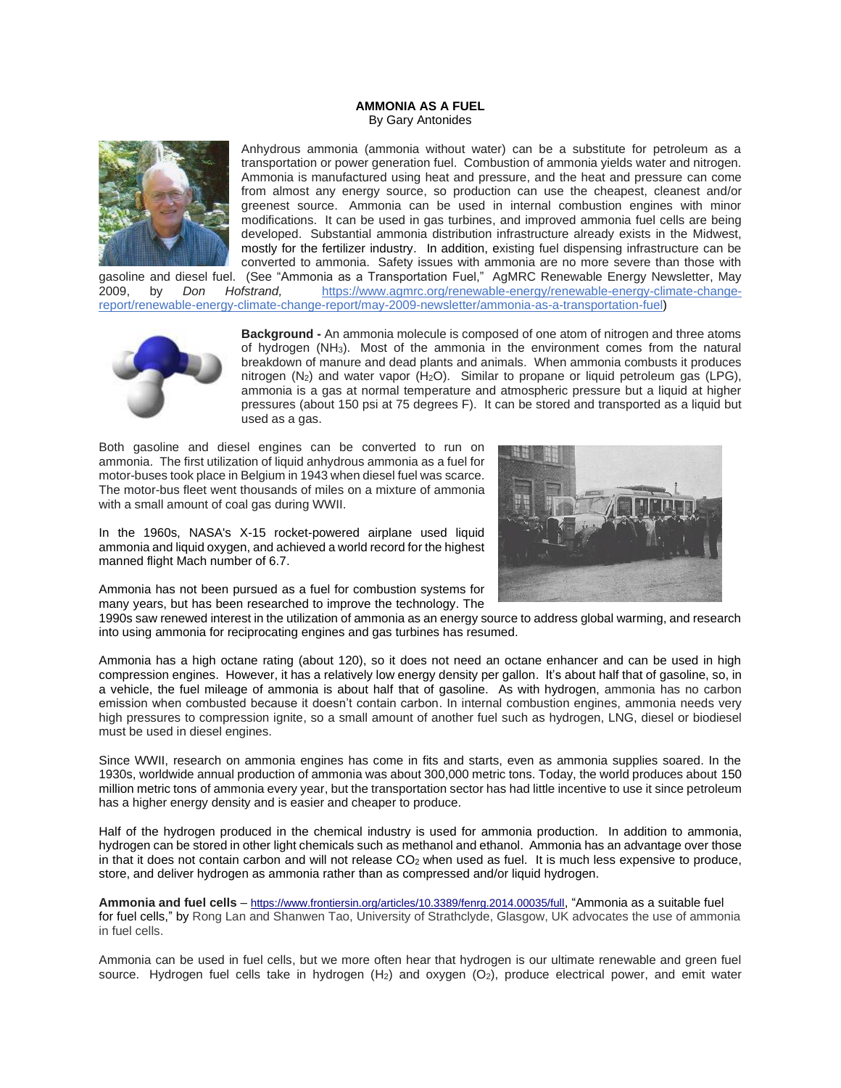## **AMMONIA AS A FUEL** By Gary Antonides



Anhydrous ammonia (ammonia without water) can be a substitute for petroleum as a transportation or power generation fuel. Combustion of ammonia yields water and nitrogen. Ammonia is manufactured using heat and pressure, and the heat and pressure can come from almost any energy source, so production can use the cheapest, cleanest and/or greenest source. Ammonia can be used in internal combustion engines with minor modifications. It can be used in gas turbines, and improved ammonia fuel cells are being developed. Substantial ammonia distribution infrastructure already exists in the Midwest, mostly for the fertilizer industry. In addition, existing fuel dispensing infrastructure can be converted to ammonia. Safety issues with ammonia are no more severe than those with

gasoline and diesel fuel. (See "Ammonia as a Transportation Fuel," AgMRC Renewable Energy Newsletter, May 2009, by *Don Hofstrand,* https://www.agmrc.org/renewable-energy/renewable-energy-climate-changereport/renewable-energy-climate-change-report/may-2009-newsletter/ammonia-as-a-transportation-fuel)



**Background -** An ammonia molecule is composed of one atom of nitrogen and three atoms of hydrogen (NH3). Most of the ammonia in the environment comes from the natural breakdown of manure and dead plants and animals. When ammonia combusts it produces nitrogen  $(N_2)$  and water vapor  $(H_2O)$ . Similar to propane or liquid petroleum gas (LPG), ammonia is a gas at normal temperature and atmospheric pressure but a liquid at higher pressures (about 150 psi at 75 degrees F). It can be stored and transported as a liquid but used as a gas.

Both gasoline and diesel engines can be converted to run on ammonia. The first utilization of liquid anhydrous ammonia as a fuel for motor-buses took place in Belgium in 1943 when diesel fuel was scarce. The motor-bus fleet went thousands of miles on a mixture of ammonia with a small amount of coal gas during WWII.

In the 1960s, NASA's X-15 rocket-powered airplane used liquid ammonia and liquid oxygen, and achieved a world record for the highest manned flight Mach number of 6.7.



Ammonia has not been pursued as a fuel for combustion systems for many years, but has been researched to improve the technology. The

1990s saw renewed interest in the utilization of ammonia as an energy source to address global warming, and research into using ammonia for reciprocating engines and gas turbines has resumed.

Ammonia has a high octane rating (about 120), so it does not need an octane enhancer and can be used in high compression engines. However, it has a relatively low energy density per gallon. It's about half that of gasoline, so, in a vehicle, the fuel mileage of ammonia is about half that of gasoline. As with hydrogen, ammonia has no carbon emission when combusted because it doesn't contain carbon. In internal combustion engines, ammonia needs very high pressures to compression ignite, so a small amount of another fuel such as hydrogen, LNG, diesel or biodiesel must be used in diesel engines.

Since WWII, research on ammonia engines has come in fits and starts, even as ammonia supplies soared. In the 1930s, worldwide annual production of ammonia was about 300,000 metric tons. Today, the world produces about [150](https://www.usgs.gov/centers/nmic/mineral-commodity-summaries)  [million metric tons](https://www.usgs.gov/centers/nmic/mineral-commodity-summaries) of ammonia every year, but the transportation sector has had little incentive to use it since petroleum has a higher energy density and is easier and cheaper to produce.

Half of the hydrogen produced in the chemical industry is used for ammonia production. In addition to ammonia, hydrogen can be stored in other light chemicals such as methanol and ethanol. Ammonia has an advantage over those in that it does not contain carbon and will not release  $CO<sub>2</sub>$  when used as fuel. It is much less expensive to produce, store, and deliver hydrogen as ammonia rather than as compressed and/or liquid hydrogen.

**Ammonia and fuel cells** – <https://www.frontiersin.org/articles/10.3389/fenrg.2014.00035/full>, "Ammonia as a suitable fuel for fuel cells," by Rong Lan and Shanwen Tao, University of Strathclyde, Glasgow, UK advocates the use of ammonia in fuel cells.

Ammonia can be used in fuel cells, but we more often hear that hydrogen is our ultimate renewable and green fuel source. Hydrogen fuel cells take in hydrogen (H<sub>2</sub>) and oxygen (O<sub>2</sub>), produce electrical power, and emit water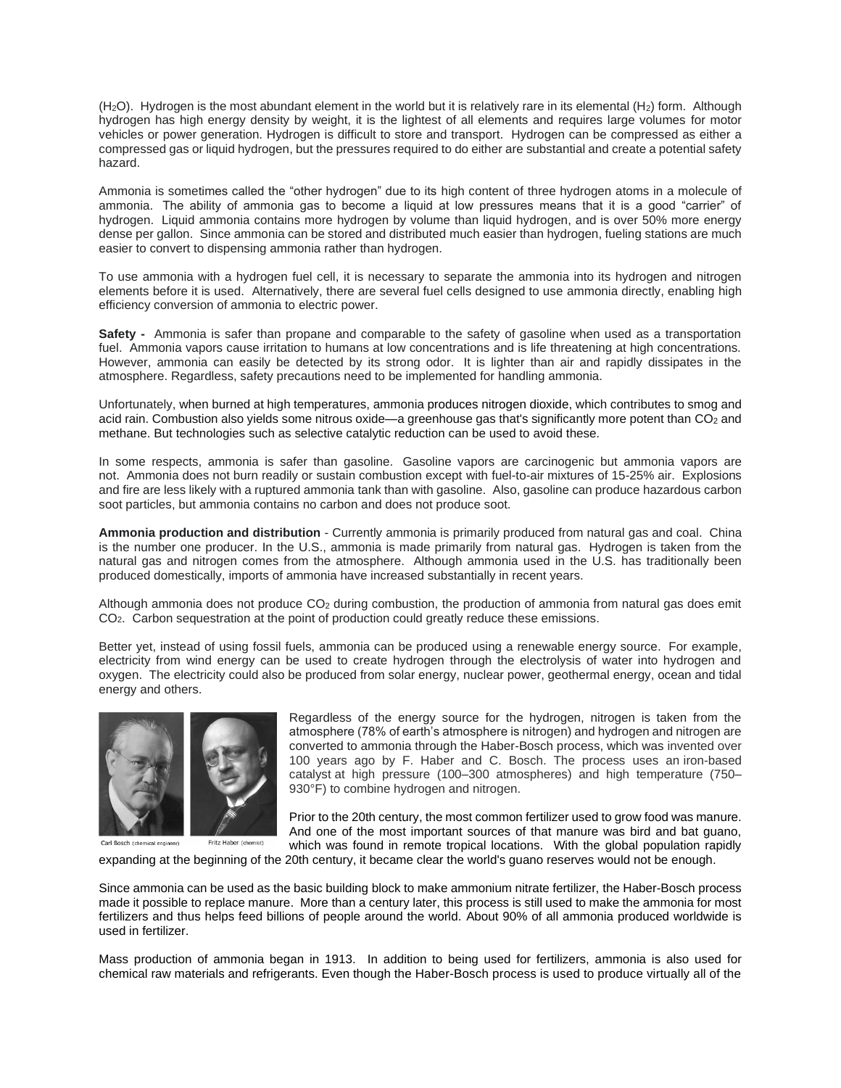$(H<sub>2</sub>O)$ . Hydrogen is the most abundant element in the world but it is relatively rare in its elemental  $(H<sub>2</sub>)$  form. Although hydrogen has high energy density by weight, it is the lightest of all elements and requires large volumes for motor vehicles or power generation. Hydrogen is difficult to store and transport. Hydrogen can be compressed as either a compressed gas or liquid hydrogen, but the pressures required to do either are substantial and create a potential safety hazard.

Ammonia is sometimes called the "other hydrogen" due to its high content of three hydrogen atoms in a molecule of ammonia. The ability of ammonia gas to become a liquid at low pressures means that it is a good "carrier" of hydrogen. Liquid ammonia contains more hydrogen by volume than liquid hydrogen, and is over 50% more energy dense per gallon. Since ammonia can be stored and distributed much easier than hydrogen, fueling stations are much easier to convert to dispensing ammonia rather than hydrogen.

To use ammonia with a hydrogen fuel cell, it is necessary to separate the ammonia into its hydrogen and nitrogen elements before it is used. Alternatively, there are several fuel cells designed to use ammonia directly, enabling high efficiency conversion of ammonia to electric power.

**Safety -** Ammonia is safer than propane and comparable to the safety of gasoline when used as a transportation fuel. Ammonia vapors cause irritation to humans at low concentrations and is life threatening at high concentrations. However, ammonia can easily be detected by its strong odor. It is lighter than air and rapidly dissipates in the atmosphere. Regardless, safety precautions need to be implemented for handling ammonia.

Unfortunately, when burned at high temperatures, ammonia produces [nitrogen dioxide,](https://www.epa.gov/no2-pollution/basic-information-about-no2#Effects) which contributes to smog and acid rain. Combustion also yields some nitrous oxide—a greenhouse gas that's significantly more potent than CO<sub>2</sub> and methane. But technologies such as selective catalytic reduction can be used to avoid these.

In some respects, ammonia is safer than gasoline. Gasoline vapors are carcinogenic but ammonia vapors are not. Ammonia does not burn readily or sustain combustion except with fuel-to-air mixtures of 15-25% air. Explosions and fire are less likely with a ruptured ammonia tank than with gasoline. Also, gasoline can produce hazardous carbon soot particles, but ammonia contains no carbon and does not produce soot.

**Ammonia production and distribution** - Currently ammonia is primarily produced from natural gas and coal. China is the number one producer. In the U.S., ammonia is made primarily from natural gas. Hydrogen is taken from the natural gas and nitrogen comes from the atmosphere. Although ammonia used in the U.S. has traditionally been produced domestically, imports of ammonia have increased substantially in recent years.

Although ammonia does not produce  $CO<sub>2</sub>$  during combustion, the production of ammonia from natural gas does emit CO<sub>2</sub>. Carbon sequestration at the point of production could greatly reduce these emissions.

Better yet, instead of using fossil fuels, ammonia can be produced using a renewable energy source. For example, electricity from wind energy can be used to create hydrogen through the electrolysis of water into hydrogen and oxygen. The electricity could also be produced from solar energy, nuclear power, geothermal energy, ocean and tidal energy and others.



Fritz Haber (chemist) Carl Bosch (chemical engineer)

Regardless of the energy source for the hydrogen, nitrogen is taken from the atmosphere (78% of earth's atmosphere is nitrogen) and hydrogen and nitrogen are converted to ammonia through the Haber-Bosch process, which was invented over 100 years ago by F. Haber and C. Bosch. The process uses an [iron-based](https://www.sciencedirect.com/topics/engineering/iron-based-catalyst)  [catalyst](https://www.sciencedirect.com/topics/engineering/iron-based-catalyst) at high pressure (100–300 atmospheres) and high temperature (750– 930°F) to combine hydrogen and nitrogen.

Prior to the 20th century, the most common fertilizer used to grow food was manure. And one of the most important sources of that manure was bird and bat guano, which was found in remote tropical locations. With the global population rapidly

expanding at the beginning of the 20th century, it became clear the world's guano reserves would not be enough.

Since ammonia can be used as the basic building block to make ammonium nitrate fertilizer, the Haber-Bosch process made it possible to replace manure. More than a century later, this process is still used to make the ammonia for most fertilizers and thus helps feed billions of people around the world. About 90% of all ammonia produced worldwide is used in fertilizer.

Mass production of ammonia began in 1913. In addition to being used for fertilizers, ammonia is also used [for](https://www.sciencedirect.com/topics/engineering/chemical-fertilizer) [chemical](https://www.sciencedirect.com/topics/engineering/chemical-fertilizer) raw materials and [refrigerants](https://www.sciencedirect.com/topics/engineering/refrigerants). Even though the Haber-Bosch process is used to produce virtually all of the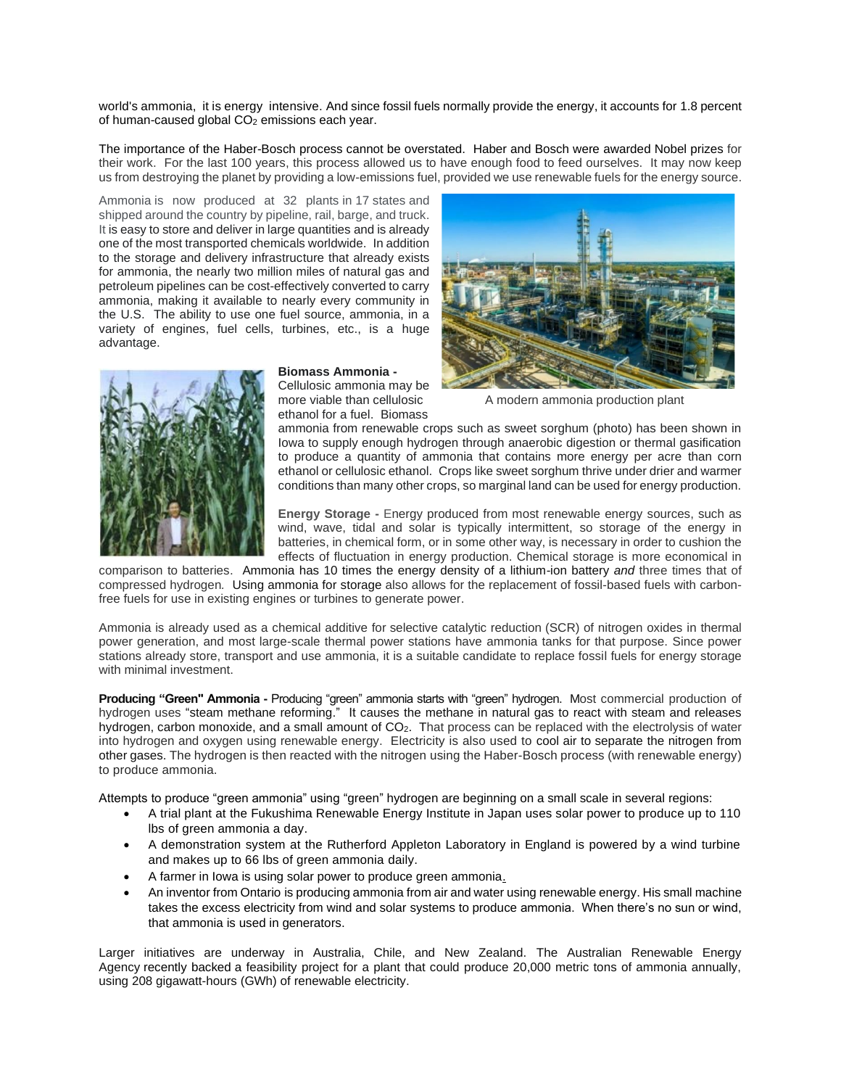world's ammonia, it is energy intensive. And since fossil fuels normally provide the energy, it accounts for [1.8 percent](https://theconversation.com/green-ammonia-could-slash-emissions-from-farming-and-power-ships-of-the-future-132152) of human-caused global  $CO<sub>2</sub>$  emissions each year.

The importance of the Haber-Bosch process cannot be overstated. Haber and Bosch were awarded Nobel prizes for their work. For the last 100 years, this process allowed us to have enough food to feed ourselves. It may now keep us from destroying the planet by providing a low-emissions fuel, provided we use renewable fuels for the energy source.

Ammonia is now produced at 32 plants in 17 states and shipped around the country by pipeline, rail, barge, and truck. It is easy to store and deliver in large quantities and is already one of the most transported chemicals worldwide. In addition to the storage and delivery infrastructure that already exists for ammonia, the nearly two million miles of natural gas and petroleum pipelines can be cost-effectively converted to carry ammonia, making it available to nearly every community in the U.S. The ability to use one fuel source, ammonia, in a variety of engines, fuel cells, turbines, etc., is a huge advantage.



## **Biomass Ammonia -**

Cellulosic ammonia may be<br>more viable than cellulosic ethanol for a fuel. Biomass



A modern ammonia production plant

ammonia from renewable crops such as sweet sorghum (photo) has been shown in Iowa to supply enough hydrogen through anaerobic digestion or thermal gasification to produce a quantity of ammonia that contains more energy per acre than corn ethanol or cellulosic ethanol. Crops like sweet sorghum thrive under drier and warmer conditions than many other crops, so marginal land can be used for energy production.

**Energy Storage -** Energy produced from most renewable energy sources, such as wind, wave, tidal and solar is typically intermittent, so storage of the energy in batteries, in chemical form, or in some other way, is necessary in order to cushion the effects of fluctuation in energy production. Chemical storage is more economical in

comparison to batteries. Ammonia has 10 times the energy density of a lithium-ion battery *and* three times that of compressed hydrogen*.* Using ammonia for storage also allows for the replacement of fossil-based fuels with carbonfree fuels for use in existing engines or turbines to generate power.

Ammonia is already used as a chemical additive for [selective catalytic reduction](https://www.sciencedirect.com/topics/engineering/selective-catalytic-reduction) (SCR) of nitrogen oxides in thermal power generation, and most large-scale thermal power stations have ammonia tanks for that purpose. Since power stations already store, transport and use ammonia, it is a suitable candidate to replace fossil fuels for energy storage with minimal investment.

**Producing "Green" Ammonia -** Producing "green" ammonia starts with "green" hydrogen. Most commercial production of hydrogen uses "steam methane reforming." It causes the methane in natural gas to react with steam and releases hydrogen, carbon monoxide, and a small amount of CO<sub>2</sub>. That process can be replaced with the electrolysis of water into hydrogen and oxygen using renewable energy. Electricity is also used to cool air to separate the nitrogen from other gases. The hydrogen is then reacted with the nitrogen using the Haber-Bosch process (with renewable energy) to produce ammonia.

Attempts to produce "green ammonia" using "green" hydrogen are beginning on a small scale in several regions:

- A trial plant at the Fukushima Renewable Energy Institute in Japan uses solar power to produce up to 110 lbs of green ammonia a day.
- A demonstration system at the Rutherford Appleton Laboratory in England is powered by a wind turbine and makes up to 66 lbs of green ammonia daily.
- A farmer in Iowa is using solar power to produce green ammonia.
- An inventor from Ontario [is producing ammonia f](https://secure.energyandcapital.com/o/web/309652)rom air and water using renewable energy. His small machine takes the excess electricity from wind and solar systems to produce ammonia. When there's no sun or wind, that ammonia is used in generators.

Larger initiatives are underway in Australia, Chile, and New Zealand. The Australian Renewable Energy Agency [recently backed](https://arena.gov.au/projects/feasibility-study-for-a-green-hydrogen-and-ammonia-project/) a feasibility project for a plant that could produce 20,000 metric tons of ammonia annually, using 208 gigawatt-hours (GWh) of renewable electricity.